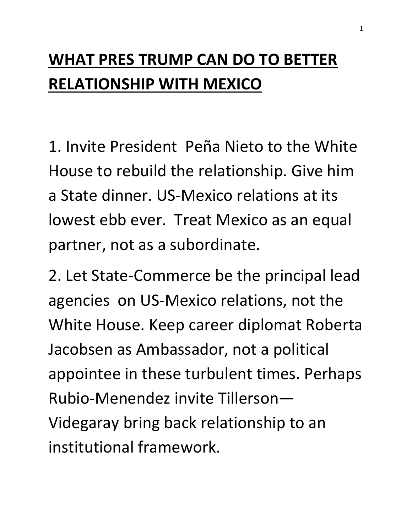## **WHAT PRES TRUMP CAN DO TO BETTER RELATIONSHIP WITH MEXICO**

1. Invite President Peña Nieto to the White House to rebuild the relationship. Give him a State dinner. US-Mexico relations at its lowest ebb ever. Treat Mexico as an equal partner, not as a subordinate.

2. Let State-Commerce be the principal lead agencies on US-Mexico relations, not the White House. Keep career diplomat Roberta Jacobsen as Ambassador, not a political appointee in these turbulent times. Perhaps Rubio-Menendez invite Tillerson— Videgaray bring back relationship to an institutional framework.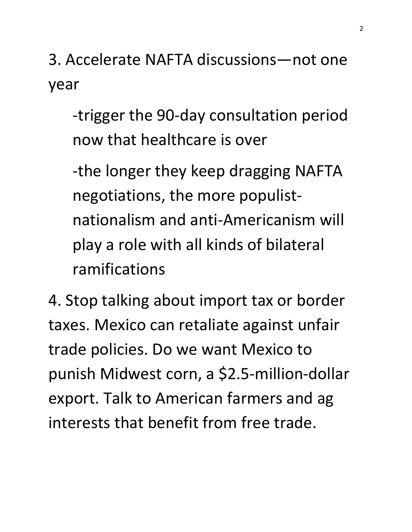3. Accelerate NAFTA discussions—not one year

-trigger the 90-day consultation period now that healthcare is over

-the longer they keep dragging NAFTA negotiations, the more populistnationalism and anti-Americanism will play a role with all kinds of bilateral ramifications

4. Stop talking about import tax or border taxes. Mexico can retaliate against unfair trade policies. Do we want Mexico to punish Midwest corn, a \$2.5-million-dollar export. Talk to American farmers and ag interests that benefit from free trade.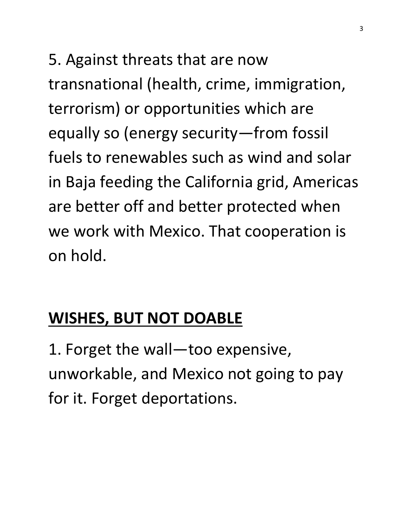5. Against threats that are now transnational (health, crime, immigration, terrorism) or opportunities which are equally so (energy security—from fossil fuels to renewables such as wind and solar in Baja feeding the California grid, Americas are better off and better protected when we work with Mexico. That cooperation is on hold.

## **WISHES, BUT NOT DOABLE**

1. Forget the wall—too expensive, unworkable, and Mexico not going to pay for it. Forget deportations.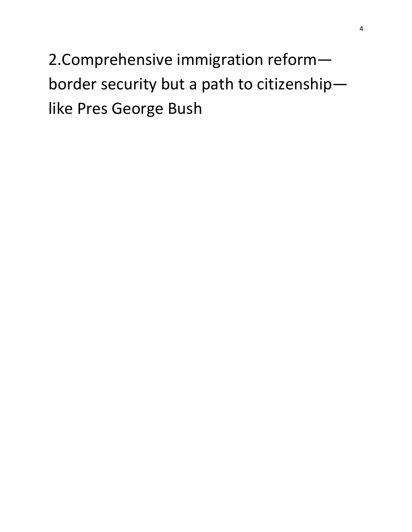2.Comprehensive immigration reform border security but a path to citizenship like Pres George Bush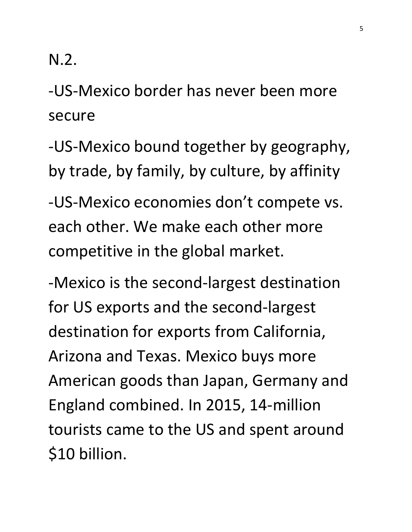N.2.

-US-Mexico border has never been more secure

-US-Mexico bound together by geography, by trade, by family, by culture, by affinity

-US-Mexico economies don't compete vs. each other. We make each other more competitive in the global market.

-Mexico is the second-largest destination for US exports and the second-largest destination for exports from California, Arizona and Texas. Mexico buys more American goods than Japan, Germany and England combined. In 2015, 14-million tourists came to the US and spent around \$10 billion.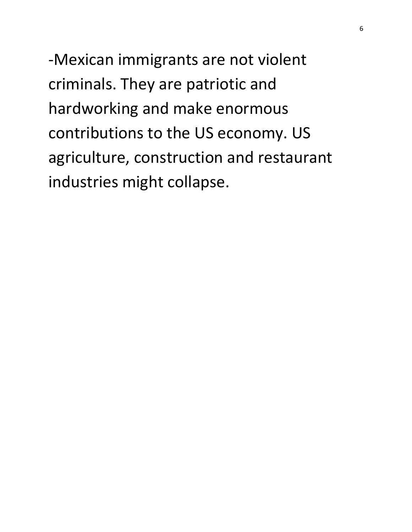-Mexican immigrants are not violent criminals. They are patriotic and hardworking and make enormous contributions to the US economy. US agriculture, construction and restaurant industries might collapse.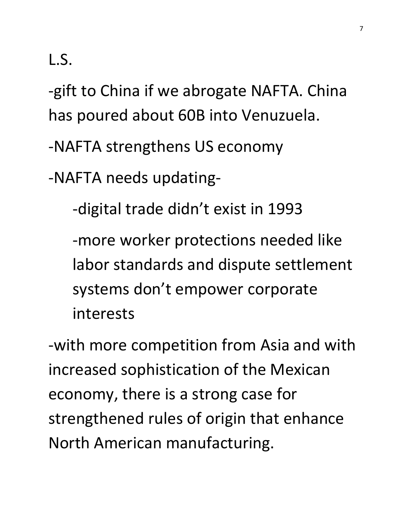L.S.

-gift to China if we abrogate NAFTA. China has poured about 60B into Venuzuela.

-NAFTA strengthens US economy

-NAFTA needs updating-

-digital trade didn't exist in 1993

-more worker protections needed like labor standards and dispute settlement systems don't empower corporate interests

-with more competition from Asia and with increased sophistication of the Mexican economy, there is a strong case for strengthened rules of origin that enhance North American manufacturing.